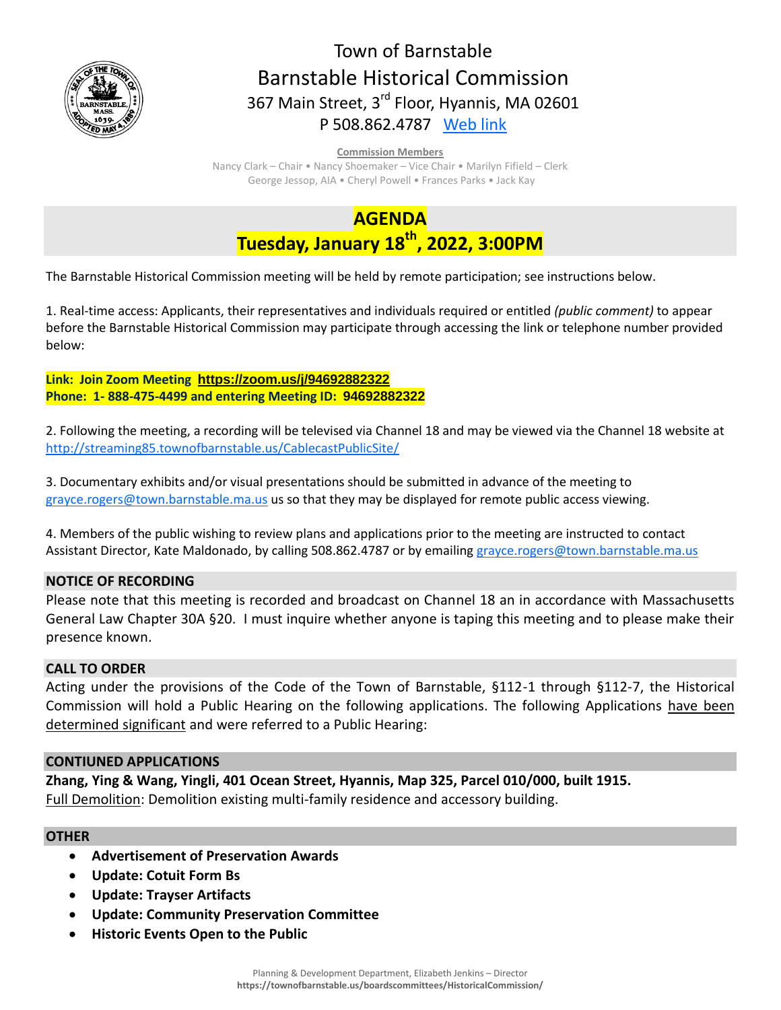

## Town of Barnstable Barnstable Historical Commission 367 Main Street, 3<sup>rd</sup> Floor, Hyannis, MA 02601 P 508.862.4787 [Web link](https://tobweb.town.barnstable.ma.us/boardscommittees/HistoricalCommission/default.asp?brd=Historical+Commission&year=2021)

#### **Commission Members**

Nancy Clark – Chair • Nancy Shoemaker – Vice Chair • Marilyn Fifield – Clerk George Jessop, AIA • Cheryl Powell • Frances Parks • Jack Kay

# **AGENDA Tuesday, January 18 th , 2022, 3:00PM**

The Barnstable Historical Commission meeting will be held by remote participation; see instructions below.

1. Real-time access: Applicants, their representatives and individuals required or entitled *(public comment)* to appear before the Barnstable Historical Commission may participate through accessing the link or telephone number provided below:

**Link: Join Zoom Meeting <https://zoom.us/j/94692882322> Phone: 1- 888-475-4499 and entering Meeting ID: [94692882322](https://zoom.us/j/94692882322)**

2. Following the meeting, a recording will be televised via Channel 18 and may be viewed via the Channel 18 website at <http://streaming85.townofbarnstable.us/CablecastPublicSite/>

3. Documentary exhibits and/or visual presentations should be submitted in advance of the meeting to [grayce.rogers@town.barnstable.ma.us](mailto:grayce.rogers@town.barnstable.ma.us) us so that they may be displayed for remote public access viewing.

4. Members of the public wishing to review plans and applications prior to the meeting are instructed to contact Assistant Director, Kate Maldonado, by calling 508.862.4787 or by emailin[g grayce.rogers@town.barnstable.ma.us](mailto:grayce.rogers@town.barnstable.ma.us)

## **NOTICE OF RECORDING**

Please note that this meeting is recorded and broadcast on Channel 18 an in accordance with Massachusetts General Law Chapter 30A §20. I must inquire whether anyone is taping this meeting and to please make their presence known.

## **CALL TO ORDER**

Acting under the provisions of the Code of the Town of Barnstable, §112-1 through §112-7, the Historical Commission will hold a Public Hearing on the following applications. The following Applications have been determined significant and were referred to a Public Hearing:

## **CONTIUNED APPLICATIONS**

**Zhang, Ying & Wang, Yingli, 401 Ocean Street, Hyannis, Map 325, Parcel 010/000, built 1915.**  Full Demolition: Demolition existing multi-family residence and accessory building.

## **OTHER**

- **Advertisement of Preservation Awards**
- **Update: Cotuit Form Bs**
- **Update: Trayser Artifacts**
- **Update: Community Preservation Committee**
- **Historic Events Open to the Public**